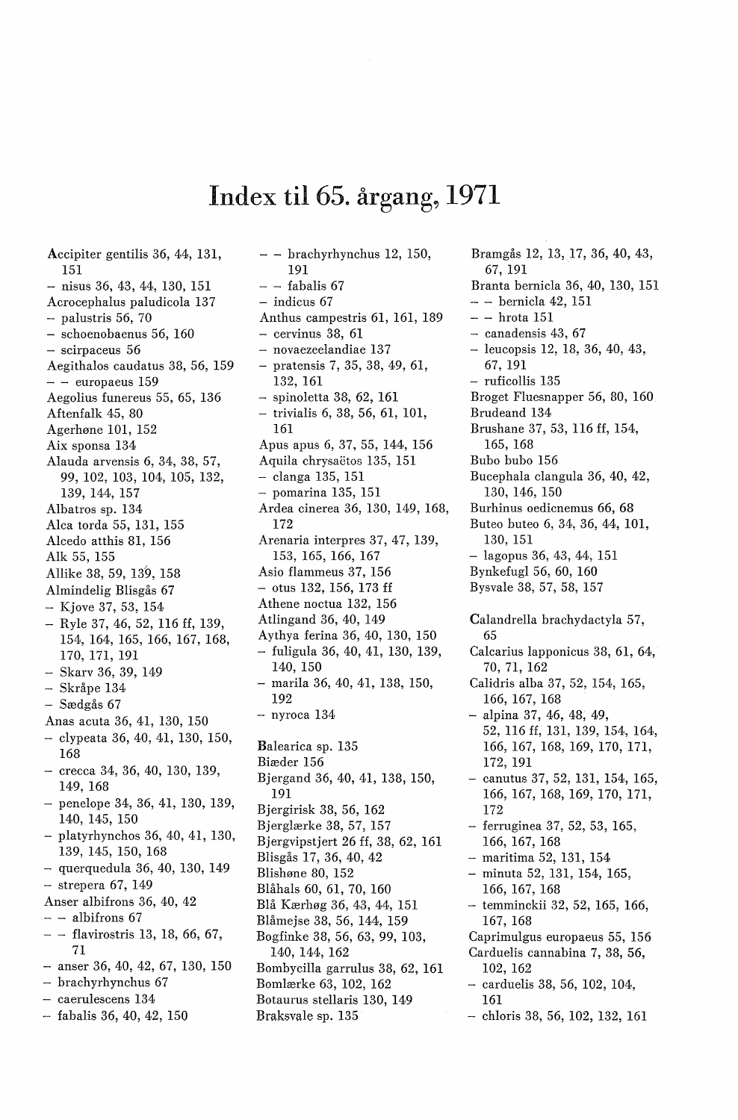## Index til 65. **årgang, 1971**

Accipiter gentilis 36, 44, 131, 151  $-$  nisus 36, 43, 44, 130, 151 Acrocephalus paludicola 137  $-$  palustris 56, 70 - schoenobaenus 56, 160 - scirpaceus 56 Aegithalos caudatus 38, 56, 159  $-$  - europaeus 159 Aegolius funereus 55, 65, 136 Aftenfalk 45, 80 Agerhøne 101, 152 Aix sponsa 134 Alauda arvensis 6, 34, 38, 57, 99, 102, 103, 104, 105, 132, 139, 144, 157 Albatros sp. 134· Alca torda 55, 131, 155 Alcedo atthis 81, 156 Alk 55, 155 Allike 38, 59, 139, 158 Almindelig Blisgås 67 - Kjove 37, 53, 154 - Ryle 37, 46, 52, 116 ff, 139, 154, 164, 165, 166, 167, 168, 170, 171, 191 - Skarv 36, 39, 149 Skråpe 134 - Sædgås 67 Anas acuta 36, 41, 130, 150 - clypeata 36, 40, 41, 130, 150, 168 - crecca 34, 36, 40, 130, 139, 149, 168 - penelope 34, 36, 41, 130, 139, 140, 145, 150 - platyrhynchos 36, 40, 41, 130, 139, 145, 150, 168 - querquedula 36, 40, 130, 149 - strepera 67, 149 Anser albifrons 36, 40, 42  $-$  - albifrons 67 - - flavirostris 13, 18, 66, 67, 71  $-$  anser 36, 40, 42, 67, 130, 150 - brachyrhynchus 67 - caerulescens 134

- fabalis 36, 40, 42, 150

 $-$  - brachyrhynchus 12, 150, 191  $-$  - fabalis 67 - indicus 67 Anthus campestris 61, 161, 189  $-$  cervinus 38, 61 - novaezeelandiae 137 - pratensis 7, 35, 38, 49, 61, 132, 161 - spinoletta 38, 62, 161 - trivialis 6, 38, 56, 61, 101, 161 Apus apus 6, 37, 55, 144, 156 Aquila chrysaëtos 135, 151 - clanga 135, 151 - pomarina 135, 151 Ardea cinerea 36, 130, 149, 168, 172 Arenaria interpres 37, 47, 139, 153, 165, 166, 167 Asio flammeus 37, 156 - otus 132, 156, 173 ff Athene noctua 132, 156 Atlingand 36, 40, 149 Aythya ferina 36, 40, 130, 150 - fuligula 36, 40, 41, 130, 139, 140, 150 - marila 36, 40, 41, 138, 150, 192  $-$  nyroca  $134$ Balearica sp. 135 Biæder 156 Bjergand 36, 40, 41, 138, 150, 191 Bjergirisk 38, 56, 162 Bjerglærke 38, 57, 157 Bjergvipstjert 26 ff, 38, 62, 161 Blisgås 17, 36, 40, 42 Blishøne 80, 152 Blåhals 60, 61, 70, 160 Blå Kærhøg 36, 43, 44, 151 Blåmejse 38, 56, 144, 159 Bogfinke 38, 56, 63, 99, 103, 140, 144, 162 Bombycilla garrulus 38, 62, 161 Bomlærke 63, 102, 162 Botaurus stellaris 130, 149 Braksvale sp. 135

Bramgås 12, 13, 17, 36, 40, 43, 67, 191 Branta bernicla 36, 40, 130, 151  $-$  - bernicla 42, 151 - - hrota 151 - canadensis 43, 67 - leucopsis 12, 18, 36, 40, 43, 67, 191 - ruficollis 135 Broget Fluesnapper 56, 80, 160 Brudeand 134 Brushane 37, 53, 116 ff, 154, 165, 168 Bubo bubo 156 Bucephala clangula 36, 40, 42, 130, 146, 150 Burhinus oedicnemus 66, 68 Buteo buteo 6, 34, 36, 44, 101, 130, 151 - lagopus 36, 43, 44, 151 Bynkefugl 56, 60, 160 Bysvale 38, 57, 58, 157 Calandrella brachydactyla 57, 65 Calcarius lapponicus 38, 61, 64, 70, 71, 162 Calidris alba 37, 52, 154, 165, 166, 167, 168 - alpina 37, 46, 48, 49, 52, 116 ff, 131, 139, 154, 164, 166, 167, 168, 169, 170, 171, 172, 191 - canutus 37, 52, 131, 154, 165, 166, 167, 168, 169, 170, 171, 172 - ferruginea 37, 52, 53, 165, 166, 167, 168 - maritima 52, 131, 154 - minuta 52, 131, 154, 165, 166, 167, 168 - temminckii 32, 52, 165, 166, 167, 168 Caprimulgus europaeus 55, 156 Carduelis cannabina 7, 38, 56, 102, 162 carduelis 38, 56, 102, 104, 161 - chloris 38, 56, 102, 132, 161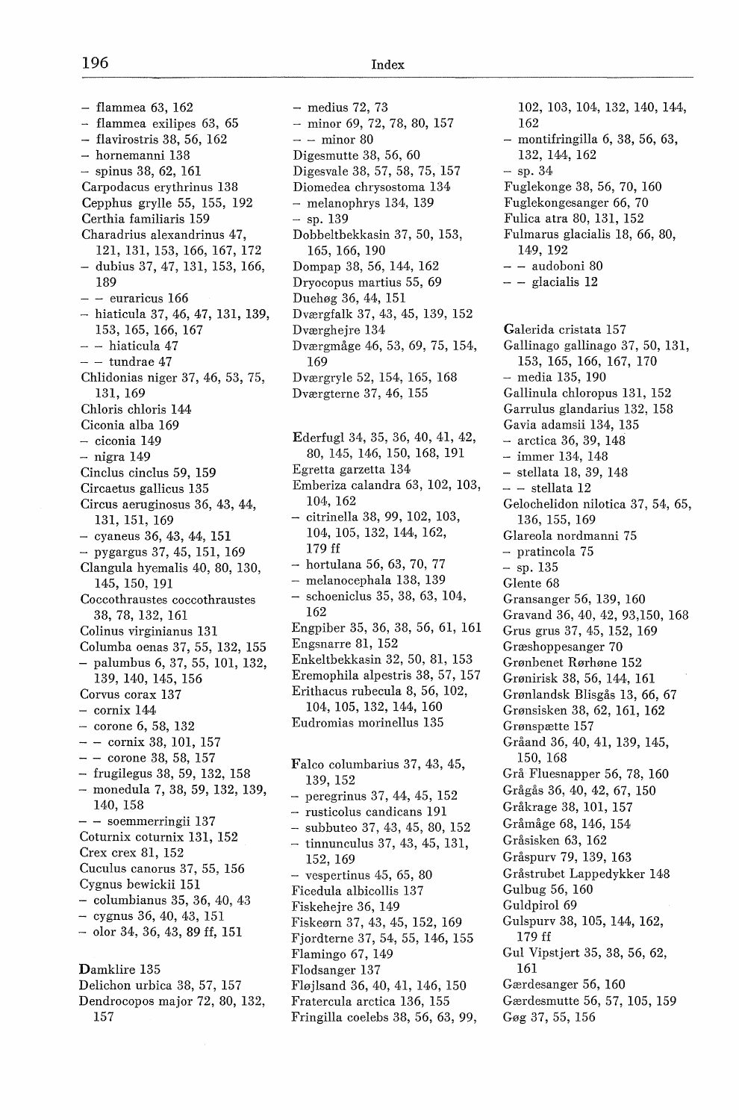$-$  flammea 63, 162 - flammea exilipes 63, 65  $-$  flavirostris 38, 56, 162 - hornemanni 138  $-$  spinus 38, 62, 161 Carpodacus erythrinus 138 Cepphus grylle 55, 155, 192 Certhia familiaris 159 Charadrius alexandrinus 47, 121, 131, 153, 166, 167, 172 - dubius 37, 47, 131, 153, 166, 189  $-$  - euraricus 166 - hiaticula 37, 46, 47, 131, 139, 153, 165, 166, 167 - - hiaticula 47  $-$  - tundrae 47 Chlidonias niger 37, 46, 53, 75, 131, 169 Chloris chloris 144 Ciconia alba 169 - ciconia 149 - nigra 149 Cinclus cinclus 59, 159 Circaetus gallicus 135 Circus aeruginosus 36, 43, 44, 131, 151, 169  $-$  cyaneus 36, 43, 44, 151 - pygargus37,45, 151, 169 Clangula hyemalis 40, 80, 130, 145, 150, 191 Coccothraustes coccothraustes 38, 78, 132, 161 Colinus virginianus 131 Columba oenas 37, 55, 132, 155 - palumbus 6, 37, 55, 101, 132, 139, 140, 145, 156 Corvus corax 137  $-$  cornix 144 - corone 6, 58, 132  $-$  - cornix 38, 101, 157  $- -$  corone 38, 58, 157 - frugilegus 38, 59, 132, 158 - monedula 7, 38, 59, 132, 139, 140, 158 - - soemmerringii 137 Coturnix coturnix 131, 152 Crex crex 81, 152 Cuculus canorus 37, 55, 156 Cygnus bewickii 151 - columbianus 35, 36, 40, 43 - cygnus 36, 40, 43, 151 - olor 34, 36, 43, 89 ff, 151 Damklire 135 Delichon urbica 38, 57, 157 Dendrocopos major 72, 80, 132,

157

 $-$  medius 72, 73  $-$  minor 69, 72, 78, 80, 157  $-$  - minor 80 Digesmutte 38, 56, 60 Digesvale 38, 57, 58, 75, 157 Diomedea chrysostoma 134 - melanophrys 134, 139  $-$  sp. 139 Dobbeltbekkasin 37, 50, 153, 165, 166, 190 Dompap 38, 56, 144, 162 Dryocopus martius 55, 69 Duehøg 36, 44, 151 Dværgfalk 37, 43, 45, 139, 152 Dværghejre 134 Dværgmåge 46, 53, 69, 75, 154, 169 Dværgryle 52, 154, 165, 168 Dværgterne 37, 46, 155 Ederfugl 34, 35, 36, 40, 41, 42, 80, 145, 146, 150, 168, 191 Egretta garzetta 134 Emberiza calandra 63, 102, 103, 104, 162 - citrinella 38, 99, 102, 103, 104, 105, 132, 144, 162, 179 ff - hortulana 56, 63, 70, 77 - melanocephala 138, 139 schoeniclus 35, 38, 63, 104, 162 Engpiber 35, 36, 38, 56, 61, 161 Engsnarre 81, 152 Enkeltbekkasin 32, 50, 81, 153 Eremophila alpestris 38, 57, 157 Erithacus rubecula 8, 56, 102, 104, 105, 132, 144, 160 Eudromias morinellus 135 Falco columbarius 37, 43, 45, 139, 152 - peregrinus 37, 44, 45, 152 - rusticolus candicans 191 subbuteo 37, 43, 45, 80, 152 - tinnunculus 37, 43, 45, 131, 152, 169  $-$  vespertinus 45, 65, 80 Ficedula albicollis 137 Fiskehejre 36, 149 Fiskeørn 37, 43, 45, 152, 169 Fjordterne 37, 54, 55, 146, 155

Flamingo 67, 149 Flodsanger 137

Fløjlsand 36, 40, 41, 146, 150 Fratercula arctica 136, 155 Fringilla coelebs 38, 56, 63, 99,

162 - montifringilla 6, 38, 56, 63, 132, 144, 162  $-$  sp. 34 Fuglekonge 38, 56, 70, 160 Fuglekongesanger 66, 70 Fulica atra 80, 131, 152 Fulmarus glacialis 18, 66, 80, 149, 192  $-$  - audoboni 80  $-$  - glacialis 12 Galerida cristata 157 Gallinago gallinago 37, 50, 131, 153, 165, 166, 167, 170 - media 135, 190 Gallinula chloropus 131, 152 Garrulus glandarius 132, 158 Gavia adamsii 134, 135 - arctica 36, 39, 148 - immer 134, 148 - stellata 18, 39, 148  $-$  - stellata  $12$ Gelochelidon nilotica 37, 54, 65, 136, 155, 169 Glareola nordmanni 75 - pratincola 75  $-$  sp. 135 Glente 68 Gransanger 56, 139, 160 Gravand 36, 40, 42, 93,150, 168 Grus grus 37, 45, 152, 169 Græshoppesanger 70 Grønbenet Rørhøne 152 Grønirisk 38, 56, 144, 161 Grønlandsk Blisgås 13, 66, 67 Grønsisken 38, 62, 161, 162 Grønspætte 157 Gråand 36, 40, 41, 139, 145, 150, 168 Grå Fluesnapper 56, 78, 160 Grågås 36, 40, 42, 67, 150 Gråkrage 38, 101, 157 Gråmåge 68, 146, 154 Gråsisken 63, 162 Gråspurv 79, 139, 163 Gråstrubet Lappedykker 148 Gulbug 56, 160 Guldpirol 69 Gulspurv 38, 105, 144, 162, 179 ff Gul Vipstjert 35, 38, 56, 62, 161 Gærdesanger 56, 160 Gærdesmutte 56, 57, 105, 159 Gøg 37, 55, 156

102, 103, 104, 132, 140, 144,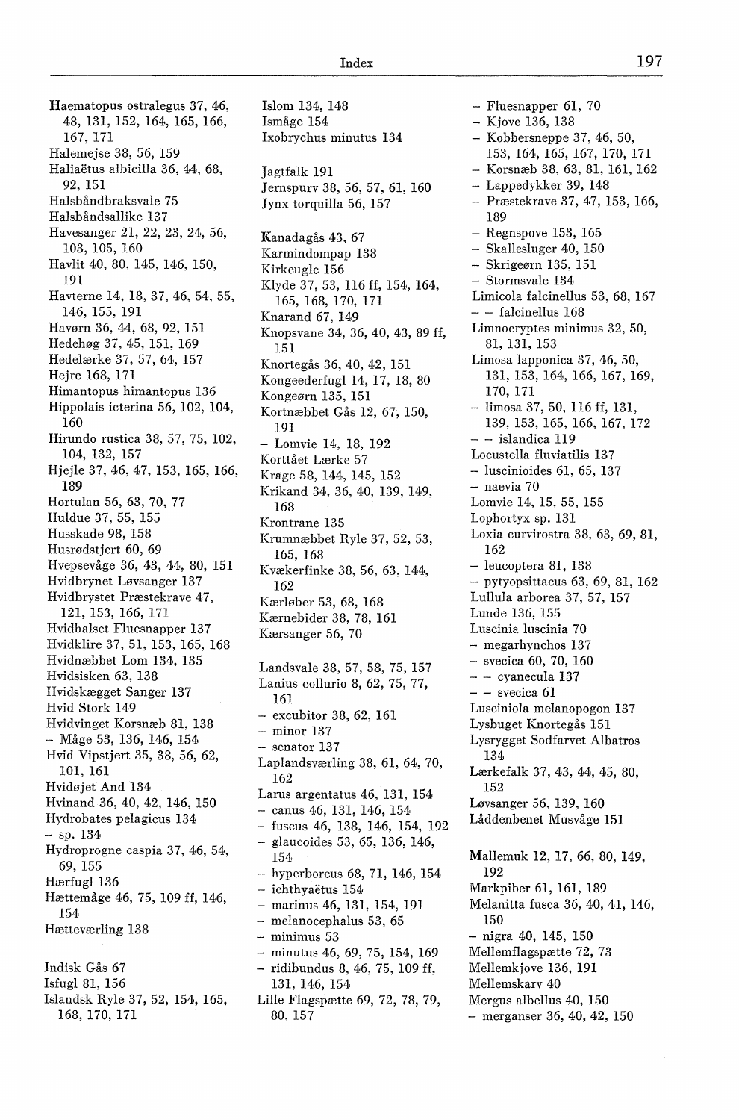Haematopus ostralegus 37, 46, 48, 131, 152, 164, 165, 166, 167, 171 Halemejse 38, 56, 159 Haliaetus albicilla 36, 44, 68, 92, 151 Halsbåndbraksvale 75 Halsbåndsallike 137 Havesanger 21, 22, 23, 24, 56, 103, 105, 160 Havlit 40, 80, 145, 146, 150, 191 Havterne 14, 18, 37, 46, 54, 55, 146, 155, 191 Havørn 36, 44, 68, 92, 151 Hedehøg 37, 45, 151, 169 Hedelærke 37, 57, 64, 157 Hejre 168, 171 Himantopus himantopus 136 Hippolais icterina 56, 102, 104, 160 Hirundo rustica 38, 57, 75, 102, 104, 132, 157 Hjejle 37, 46, 47, 153, 165, 166, 189 Hortulan 56, 63, 70, 77 Huldue 37, 55, 155 Husskade 98, 158 Husrødstjert 60, 69 Hvepsevåge 36, 43, 44, 80, 151 Hvidbrynet Løvsanger 137 Hvidbrystet Præstekrave 47, 121, 153, 166, 171 Hvidhalset Fluesnapper 137 Hvidklire 37, 51, 153, 165, 168 Hvidnæbbet Lom 134, 135 Hvidsisken 63, 138 Hvidskægget Sanger 137 Hvid Stork 149 Hvidvinget Korsnæb 81, 138 - Måge 53, 136, 146, 154 Hvid Vipstjert 35, 38, 56, 62, 101, 161 Hvidøjet And 134 Hvinand 36, 40, 42, 146, 150 Hydrobates pelagicus 134  $-$  sp. 134 Hydroprogne caspia 37, 46, 54, 69, 155 Hærfugl 136 Hættemåge 46, 75, 109 ff, 146, 154 Hætteværling 138 Indisk Gås 67 Isfugl 81, 156

Islandsk Ryle 37, 52, 154, 165, 168, 170, 171

Islom 134, 148 Ismåge 154 Ixobrychus minutus 134 Jagtfalk 191 Jernspurv 38, 56, 57, 61, 160 Jynx torquilla 56, 157 Kanadagås 43, 67 Karmindompap 138 Kirkeugle 156 Klyde 37, 53, 116 ff, 154, 164, 165, 168, 170, 171 Knarand 67, 149 Knopsvane 34, 36, 40, 43, 89 ff, 151 Knortegås 36, 40, 42, 151 Kongeederfugl 14, 17, 18, 80 Kongeørn 135, 151 Kortnæbbet Gås 12, 67, 150, 191 - Lomvie 14, 18, 192 Korttået Lærke 57 Krage 58, 144, 145, 152 Krikand 34, 36, 40, 139, 149, 168 Krontrane 135 Krumnæbbet Ryle 37, 52, 53, 165, 168 Kvækerfinke 38, 56, 63, 144, 162 Kærløber 53, 68, 168 Kærnebider 38, 78, 161 Kærsanger 56, 70

Landsvale 38, 57, 58, 75, 157 Lanius collurio 8, 62, 75, 77, 161 - excubitor 38, 62, 161 - minor 137 - senator 137 Laplandsværling 38, 61, 64, 70, 162 Larus argentatus 46, 131, 154 - canus 46, 131, 146, 154 - fuscus 46, 138, 146, 154, 192 - glaucoides 53, 65, 136, 146, 154 - hyperboreus 68, 71, 146, 154 - ichthyaëtus 154 - marinus 46, 131, 154, 191 - melanocephalus 53, 65 - minimus 53 - minutus 46, 69, 75, 154, 169 - ridibundus 8, 46, 75, 109 ff, 131, 146, 154 Lille Flagspætte 69, 72, 78, 79,

80, 157

- Fluesnapper 61, 70 - Kjove 136, 138 - Kobbersneppe 37, 46, 50, 153, 164, 165, 167, 170, 171 - Korsnæb 38, 63, 81, 161, 162 - Lappedykker 39, 148 - Præstekrave 37, 47, 153, 166, 189 - Regnspove 153, 165 - Skallesluger 40, 150 - Skrigeørn 135, 151 - Stormsvale 134 Limicola falcinellus 53, 68, 167 - - falcinellus 168 Limnocryptes minimus 32, 50, 81, 131, 153 Limosa lapponica 37, 46, 50, 131, 153, 164, 166, 167, 169, 170, 171 - limosa 37, 50, 116 ff, 131, 139, 153, 165, 166, 167, 172 - - islandica 119 Locustella fluviatilis 137 - luscinioides 61, 65, 137 - naevia 70 Lomvie 14, 15, 55, 155 Lophortyx sp. 131 Loxia curvirostra 38, 63, 69, 81, 162 - leucoptera 81, 138 - pytyopsittacus 63, 69, 81, 162 Lullula arborea 37, 57, 157 Lunde 136, 155 Luscinia luscinia 70 - megarhynchos 137 - svecica 60, 70, 160  $-$  - cyanecula 137  $-$  - svecica 61 Lusciniola melanopogon 137 Lysbuget Knortegås 151 Lysrygget Sodfarvet Albatros 134 Lærkefalk 37, 43, 44, 45, 80, 152 Løvsanger 56, 139, 160 Låddenbenet Musvåge 151 Mallemuk 12, 17, 66, 80, 149, 192 Markpiber 61, 161, 189 Melanitta fusca 36, 40, 41, 146, 150 - nigra 40, 145, 150 Mellemflagspætte 72, 73 Mellemkjove 136, 191 Mellemskarv 40 Mergus albellus 40, 150 - merganser 36, 40, 42, 150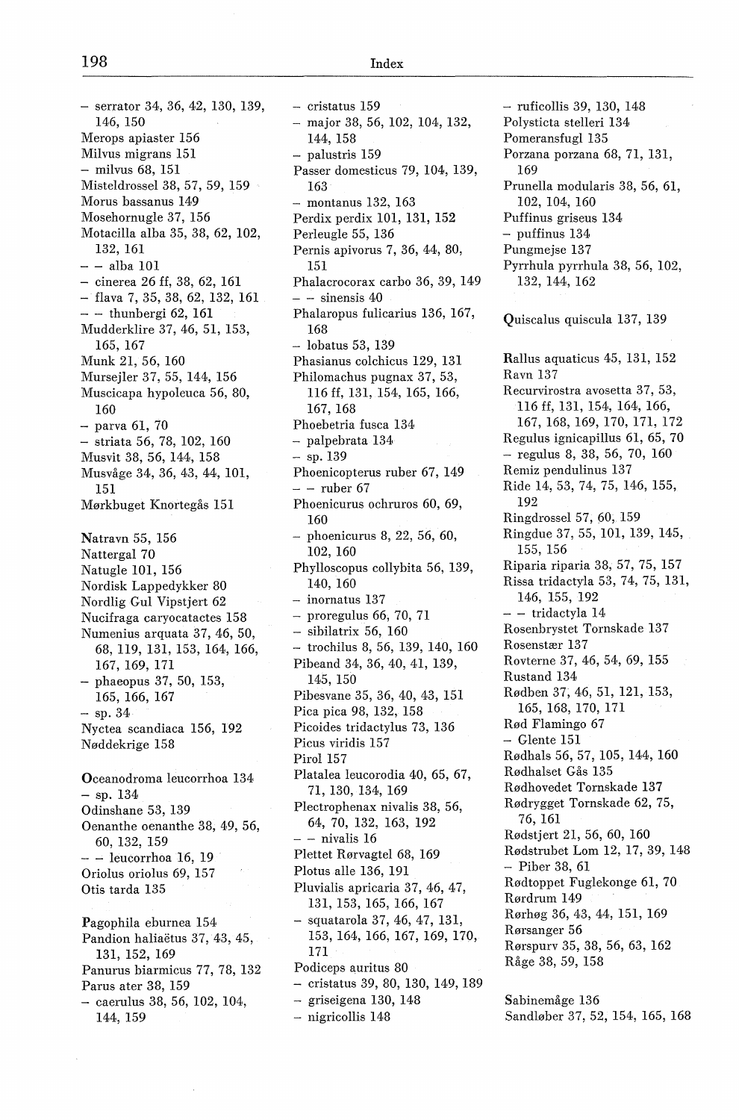$-$  serrator 34, 36, 42, 130, 139, 146, 150 Merops apiaster 156 Milvus migrans 151 - milvus 68, 151 Misteldrossel 38, 57, 59, 159 Morus bassanus 149 Mosehornugle 37, 156 Motacilla alba 35, 38, 62, 102, 132, 161  $-$  - alba 101  $-$  cinerea 26 ff, 38, 62, 161  $-$  flava 7, 35, 38, 62, 132, 161  $-$  - thunbergi 62, 161 Mudderklire 37, 46, 51, 153, 165, 167 Munk 21, 56, 160 Mursejler 37, 55, 144, 156 Muscicapa hypoleuca 56, 80, 160 - parva 61, 70 - striata 56, 78, 102, 160 Musvit 38, 56, 144, 158 Musvåge 34, 36, 43, 44, 101, 151 Mørkbuget Knortegås 151 Natravn 55, 156 Nattergal 70 Natugle 101, 156 Nordisk Lappedykker 80 Nordlig Gul Vipstjert 62 Nucifraga caryocatactes 158 Numenius arquata 37, 46, 50, 68, 119, 131, 153, 164, 166, 167, 169, 171 - phaeopus 37, 50, 153, 165, 166, 167  $-$  sp. 34 Nyctea scandiaca 156, 192 Nøddekrige 158 Oceanodroma leucorrhoa 134  $-$  sp. 134 Odinshane 53, 139 Oenanthe oenanthe 38, 49, 56, 60, 132, 159  $-$  - leucorrhoa 16, 19 Oriolus oriolus 69, 157 Otis tarda 135 Pagophila eburnea 154 Pandion haliaetus 37, 43, 45, 131, 152, 169 Panurus biarmicus 77, 78, 132 Parus ater 38, 159 - caerulus 38, 56, 102, 104, 144, 159

- cristatus 159 - major 38, 56, 102, 104, 132, 144, 158 - palustris 159 Passer domesticus 79, 104, 139, 163 - montanus 132, 163 Perdix perdix 101, 131, 152 Perleugle 55, 136 Pernis apivorus 7, 36, 44, 80, 151 Phalacrocorax carbo 36, 39, 149  $-$  - sinensis 40 Phalaropus fulicarius 136, 167, 168 - lobatus 53, 139 Phasianus colchicus 129, 131 Philomachus pugnax 37, 53, 116 ff, 131, 154, 165, 166, 167, 168 Phoebetria fusca 134 - palpebrata 134,  $-$  sp. 139 Phoenicopterus ruber 67, 149  $-$  - ruber 67 Phoenicurus ochruros 60, 69, 160 phoenicurus 8, 22, 56, 60, 102, 160 Phylloscopus collybita 56, 139, 140, 160 - inornatus 137  $-$  proregulus 66, 70, 71 - sibilatrix 56, 160 - trochilus 8, 56, 139, 140, 160 Pibeand 34, 36, 40, 41, 139, 145, 150 Pibesvane 35, 36, 40, 43, 151 Pica pica 98, 132, 158 Picoides tridactylus 73, 136 Picus viridis 157 Pirol 157 Platalea leucorodia 40, 65, 67, 71, 130, 134, 169 Plectrophenax nivalis 38, 56, 64, 70, 132, 163, 192  $-$  - nivalis 16 Plettet Rørvagtel 68, 169 Plotus alle 136, 191 Pluvialis apricaria 37, 46, 47, 131, 153, 165, 166, 167 squatarola 37, 46, 47, 131, 153, 164, 166, 167, 169, 170, 171 Podiceps auritus 80 - cristatus 39, 80, 130, 149, 189 - griseigena 130, 148 - nigricollis 148

- ruficollis 39, 130, 148 Polysticta stelleri 134 Pomeransfugl 135 Porzana porzana 68, 71, 131, 169 Prunella modularis 38, 56, 61, 102, 104, 160 Puffinus griseus 134 - puffinus 134 Pungmejse 137 Pyrrhula pyrrhula 38, 56, 102, 132, 144, 162 Quiscalus quiscula 137, 139 Rallus aquaticus 45, 131, 152 Ravn 137 Recurvirostra avosetta 37, 53, 116 ff, 131, 154, 164, 166, 167, 168, 169, 170, 171, 172 Regulus ignicapillus 61, 65, 70  $-$  regulus 8, 38, 56, 70, 160 Remiz pendulinus 137 Ride 14, 53, 74, 75, 146, 155, 192 Ringdrossel 57, 60, 159 Ringdue 37, 55, 101, 139, 145, 155, 156 Riparia riparia 38, 57, 75, 157 Rissa tridactyla 53, 74, 75, 131, 146, 155, 192 - - tridactyla 14 Rosenbrystet Tornskade 137 Rosenstær 137 Rovterne 37, 46, 54, 69, 155 Rustand 134 Rødben 37, 46, 51, 121, 153, 165, 168, 170, 171 Rød Flamingo 67  $-$  Glente 151 Rødhals 56, 57, 105, 144, 160 Rødhalset Gås 135 Rødhovedet Tornskade 137 Rødrygget Tornskade 62, 75, 76, 161 Rødstjert 21, 56, 60, 160 Rødstrubet Lom 12, 17, 39, 148 - Piber 38, 61 Rødtoppet Fuglekonge 61, 70 Rørdrum 149 Rørhøg 36, 43, 44, 151, 169 Rørsanger 56 Rørspurv 35, 38, 56, 63, 162 Råge 38, 59, 158

Sabinemåge 136 Sandløber 37, 52, 154, 165, 168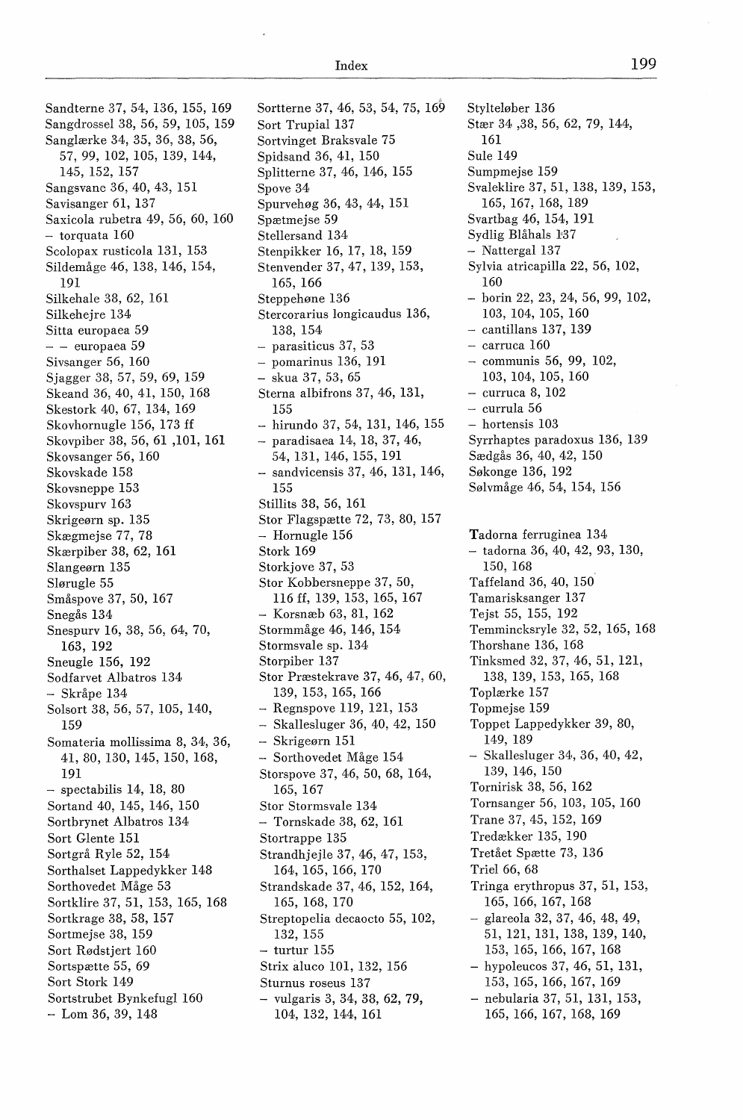Sandterne 37, 54, 136, 155, 169 Sangdrossel 38, 56, 59, 105, 159 Sanglærke 34, 35, 36, 38, 56, 57, 99, 102, 105, 139, 144, 145, 152, 157 Sangsvane 36, 40, 43, 151 Savisanger 61, 137 Saxicola rubetra 49, 56, 60, 160 - torquata 160 Scolopax rusticola 131, 153 Sildemåge 46, 138, 146, 154, 191 Silkehale 38, 62, 161 Silkehejre 134 Sitta europaea 59 - - europaea 59 Sivsanger 56, 160 Sjagger 38, 57, 59, 69, 159 Skeand 36, 40, 41, 150, 168 Skestork 40, 67, 134, 169 Skovhornugle 156, 173 ff Skovpiber 38, 56, 61 ,101, 161 Skovsanger 56, 160 Skovskade 158 Skovsneppe 153 Skovspurv 163 Skrigeørn sp. 135 Skægmejse 77, 78 Skærpiber 38, 62, 161 Slangeørn 135 Slørugle 55 Småspove 37, 50, 167 Snegås 134 Snespurv 16, 38, 56, 64, 70, 163, 192 Sneugle 156, 192 Sodfarvet Albatros 134 - Skråpe 134 Solsort 38, 56, 57, 105, 140, 159 Somateria mollissima 8, 34, 36, 41,80, 130, 145, 150, 168, 191  $-$  spectabilis 14, 18, 80 Sortand 40, 145, 146, 150 Sortbrynet Albatros 134 Sort Glente 151 Sortgrå Ryle 52, 154 Sorthalset Lappedykker 148 Sorthovedet Måge 53 Sortklire 37, 51, 153, 165, 168 Sortkrage 38, 58, 157 Sortmejse 38, 159 Sort Rødstjert 160 Sortspætte 55, 69 Sort Stork 149 Sortstrubet Bynkefugl 160  $-$  Lom 36, 39, 148

Sortterne 37, 46, 53, 54, 75, 169 Sort Trupial 137 Sortvinget Braksvale 75 Spidsand 36, 41, 150 Splitterne 37, 46, 146, 155 Spove 34 Spurvehøg 36, 43, 44, 151 Spætmejse 59 Stellersand 134 Stenpikker 16, 17, 18, 159 Stenvender 37, 47, 139, 153, 165, 166 Steppehøne 136 Stercorarius longicaudus 136, 138, 154 - parasiticus 37, 53 - pomarinus 136, 191 - skua 37, 53, 65 Sterna albifrons 37, 46, 131, 155 - hirundo 37, 54, 131, 146, 155 - paradisaea 14, 18, 37, 46, 54, 131, 146, 155, 191 - sandvicensis 37, 46, 131, 146, 155 Stillits 38, 56, 161 Stor Flagspætte 72, 73, 80, 157 - Hornugle 156 Stork 169 Storkjove 37, 53 Stor Kobbersneppe 37, 50, 116 ff, 139, 153, 165, 167 - Korsnæb 63, 81, 162 Stormmåge 46, 146, 154 Stormsvale sp. 134 Storpiber 137 Stor Præstekrave 37, 46, 47, 60, 139, 153, 165, 166 - Regnspove 119, 121, 153 - Skallesluger 36, 40, 42, 150 - Skrigeørn 151 - Sorthovedet Måge 154 Storspove 37, 46, 50, 68, 164, 165, 167 Stor Stormsvale 134 - Tornskade 38, 62, 161 Stortrappe 135 Strandhjejle 37, 46, 47, 153, 164, 165, 166, 170 Strandskade 37, 46, 152, 164, 165, 168, 170 Streptopelia decaocto 55, 102, 132, 155 - turtur 155 Strix aluco 101, 132, 156 Sturnus roseus 137 - vulgaris 3, 34, 38, 62, 79, 104, 132, 144, 161

Stylteløber 136 Stær 34 ,38, 56, 62, 79, 144, 161 Sule 149 Sumpmejse 159 Svaleklire 37, 51, 138, 139, 153, 165, 167, 168, 189 Svartbag 46, 154, 191 Sydlig Blåhals 137 - Nattergal 137 Sylvia atricapilla 22, 56, 102, 160 - borin 22, 23, 24, 56, 99, 102, 103, 104, 105, 160 - cantillans 137, 139 - carruca 160 - communis 56, 99, 102, 103, 104, 105, 160 - curruca 8, 102 - currula 56 - hortensis 103 Syrrhaptes paradoxus 136, 139 Sædgås 36, 40, 42, 150 Søkonge 136, 192 Sølvmåge 46, 54, 154, 156 Tadorna ferruginea 134 - tadorna 36, 40, 42, 93, 130, 150, 168 Taffeland 36, 40, 150 Tamarisksanger 137 Tejst 55, 155, 192

Temmincksryle 32, 52, 165, 168

Thorshane 136, 168 Tinksmed 32, 37, 46, 51, 121,

138, 139, 153, 165, 168 Toplærke 157 Topmejse 159 Toppet Lappedykker 39, 80, 149, 189

- Skallesluger 34, 36, 40, 42, 139, 146, 150 Tornirisk 38, 56, 162 Tornsanger 56, 103, 105, 160 Trane 37, 45, 152, 169 Tredækker 135, 190 Tretået Spætte 73, 136 Triel 66, 68 Tringa erythropus 37, 51, 153, 165, 166, 167, 168 - glareola 32, 37, 46, 48, 49, 51, 121, 131, 138, 139, 140, 153, 165, 166, 167, 168 - hypoleucos 37, 46, 51, 131, 153, 165, 166, 167, 169
- nebularia 37, 51, 131, 153, 165, 166, 167, 168, 169